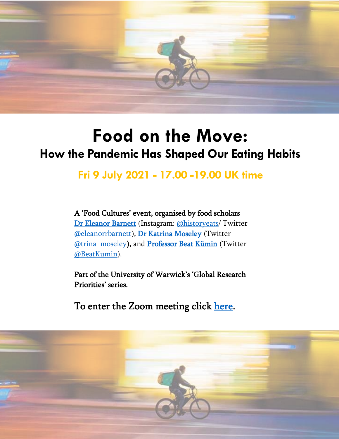

## e ٦ **Food on the Move: How the Pandemic Has Shaped Our Eating Habits**

#### i İ, **Fri 9 July 2021 - 17.00 -19.00 UK time**

A 'Food Cultures' event, organised by food scholars [Dr Eleanor Barnett](https://eleanorbarnett.com/) (Instagram: [@historyeats/](https://www.instagram.com/historyeats/) Twitter [@eleanorrbarnett\)](https://twitter.com/eleanorrbarnett), [Dr Katrina Moseley](https://www.hist.cam.ac.uk/people/dr-katrina-moseley) (Twitter [@trina\\_moseley\)](https://twitter.com/trina_moseley), and [Professor Beat Kümin](https://warwick.ac.uk/fac/arts/history/people/staff_index/bkumin/) (Twitter [@BeatKumin\)](https://twitter.com/BeatKumin).

Part of the University of Warwick's 'Global Research Priorities' series.

To enter the Zoom meeting click [here.](https://us02web.zoom.us/j/81675755579?pwd=cU1vWG14NFdSbnJQaGY5RFpjbE8yZz09)